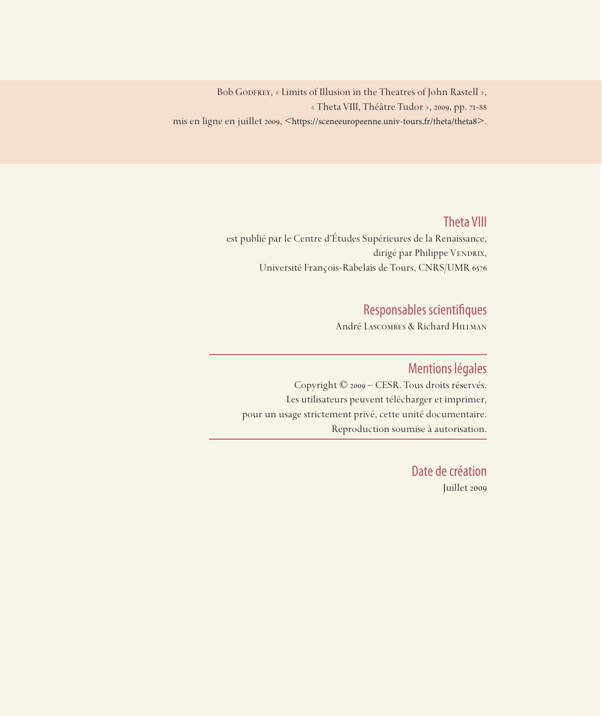Bob GODFREY, « Limits of Illusion in the Theatres of John Rastell », « Theta VIII, Théâtre Tudor », 2009, pp. 71-88 mis en ligne en juillet 2009, <https://sceneeuropeenne.univ-tours.fr/theta/theta8>.

## Theta VIII

est publié par le Centre d'Études Supérieures de la Renaissance, dirigé par Philippe VENDRIX, Université François-Rabelais de Tours, CNRS/UMR 6576

## Responsables scientifiques

André Lascombes & Richard Hillman

### Mentions légales

Copyright © 2009 – CESR. Tous droits réservés. Les utilisateurs peuvent télécharger et imprimer, pour un usage strictement privé, cette unité documentaire. Reproduction soumise à autorisation.

> Date de création Juillet 2009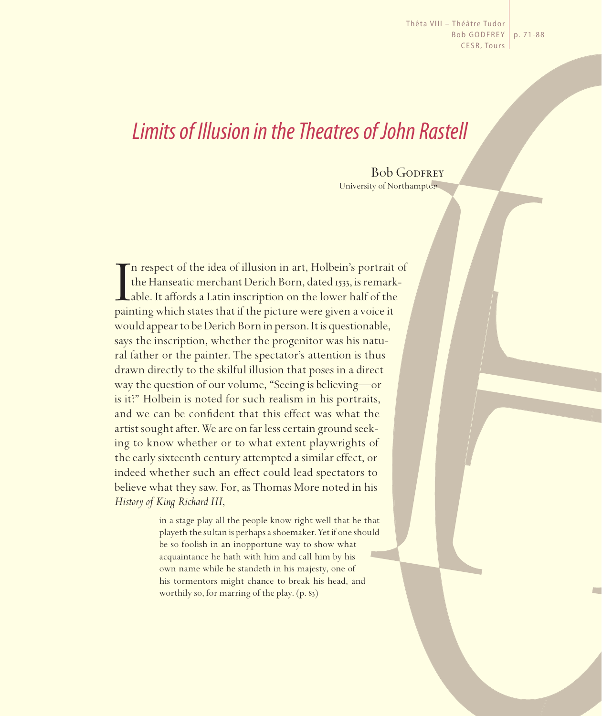Thêta VIII – Théâtre Tudor Bob GODFREY | p. 71-88 CESR, Tours

# *Limits of Illusion in the Theatres of John Rastell*

**Bob GODFREY** University of Northampton

In respect of the idea of illusion in art, Holbein's portrait the Hanseatic merchant Derich Born, dated 1533, is remark able. It affords a Latin inscription on the lower half of the painting which states that if the pictur n respect of the idea of illusion in art, Holbein's portrait of the Hanseatic merchant Derich Born, dated 1533, is remarkable. It affords a Latin inscription on the lower half of the would appear to be Derich Born in person. It is questionable, says the inscription, whether the progenitor was his natural father or the painter. The spectator's attention is thus drawn directly to the skilful illusion that poses in a direct way the question of our volume, "Seeing is believing—or is it?" Holbein is noted for such realism in his portraits, and we can be confident that this effect was what the artist sought after. We are on far less certain ground seeking to know whether or to what extent playwrights of the early sixteenth century attempted a similar effect, or indeed whether such an effect could lead spectators to believe what they saw. For, as Thomas More noted in his *History of King Richard III*,

> in a stage play all the people know right well that he that playeth the sultan is perhaps a shoemaker. Yet if one should be so foolish in an inopportune way to show what acquaintance he hath with him and call him by his own name while he standeth in his majesty, one of his tormentors might chance to break his head, and worthily so, for marring of the play. (p. 83)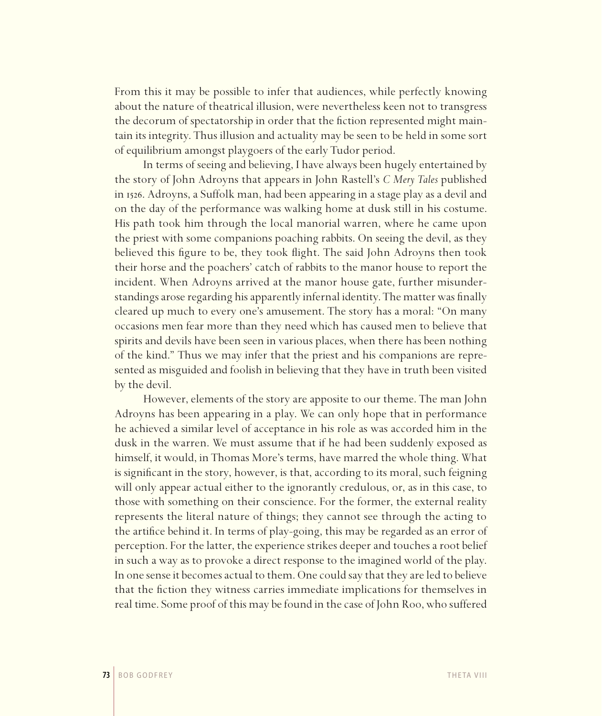From this it may be possible to infer that audiences, while perfectly knowing about the nature of theatrical illusion, were nevertheless keen not to transgress the decorum of spectatorship in order that the fiction represented might maintain its integrity. Thus illusion and actuality may be seen to be held in some sort of equilibrium amongst playgoers of the early Tudor period.

In terms of seeing and believing, I have always been hugely entertained by the story of John Adroyns that appears in John Rastell's *C Mery Tales* published in 1526. Adroyns, a Suffolk man, had been appearing in a stage play as a devil and on the day of the performance was walking home at dusk still in his costume. His path took him through the local manorial warren, where he came upon the priest with some companions poaching rabbits. On seeing the devil, as they believed this figure to be, they took flight. The said John Adroyns then took their horse and the poachers' catch of rabbits to the manor house to report the incident. When Adroyns arrived at the manor house gate, further misunderstandings arose regarding his apparently infernal identity. The matter was finally cleared up much to every one's amusement. The story has a moral: "On many occasions men fear more than they need which has caused men to believe that spirits and devils have been seen in various places, when there has been nothing of the kind." Thus we may infer that the priest and his companions are represented as misguided and foolish in believing that they have in truth been visited by the devil.

However, elements of the story are apposite to our theme. The man John Adroyns has been appearing in a play. We can only hope that in performance he achieved a similar level of acceptance in his role as was accorded him in the dusk in the warren. We must assume that if he had been suddenly exposed as himself, it would, in Thomas More's terms, have marred the whole thing. What is significant in the story, however, is that, according to its moral, such feigning will only appear actual either to the ignorantly credulous, or, as in this case, to those with something on their conscience. For the former, the external reality represents the literal nature of things; they cannot see through the acting to the artifice behind it. In terms of play-going, this may be regarded as an error of perception. For the latter, the experience strikes deeper and touches a root belief in such a way as to provoke a direct response to the imagined world of the play. In one sense it becomes actual to them. One could say that they are led to believe that the fiction they witness carries immediate implications for themselves in real time. Some proof of this may be found in the case of John Roo, who suffered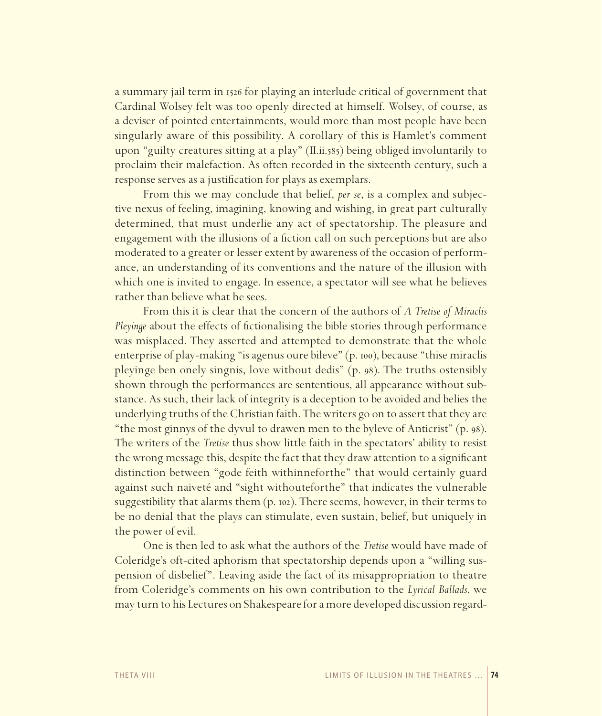a summary jail term in 1526 for playing an interlude critical of government that Cardinal Wolsey felt was too openly directed at himself. Wolsey, of course, as a deviser of pointed entertainments, would more than most people have been singularly aware of this possibility. A corollary of this is Hamlet's comment upon "guilty creatures sitting at a play" (II.ii.585) being obliged involuntarily to proclaim their malefaction. As often recorded in the sixteenth century, such a response serves as a justification for plays as exemplars.

From this we may conclude that belief, *per se*, is a complex and subjective nexus of feeling, imagining, knowing and wishing, in great part culturally determined, that must underlie any act of spectatorship. The pleasure and engagement with the illusions of a fiction call on such perceptions but are also moderated to a greater or lesser extent by awareness of the occasion of performance, an understanding of its conventions and the nature of the illusion with which one is invited to engage. In essence, a spectator will see what he believes rather than believe what he sees.

From this it is clear that the concern of the authors of *A Tretise of Miraclis Pleyinge* about the effects of fictionalising the bible stories through performance was misplaced. They asserted and attempted to demonstrate that the whole enterprise of play-making "is agenus oure bileve" (p. 100), because "thise miraclis pleyinge ben onely singnis, love without dedis" (p. 98). The truths ostensibly shown through the performances are sententious, all appearance without substance. As such, their lack of integrity is a deception to be avoided and belies the underlying truths of the Christian faith. The writers go on to assert that they are "the most ginnys of the dyvul to drawen men to the byleve of Anticrist" (p. 98). The writers of the *Tretise* thus show little faith in the spectators' ability to resist the wrong message this, despite the fact that they draw attention to a significant distinction between "gode feith withinneforthe" that would certainly guard against such naiveté and "sight withouteforthe" that indicates the vulnerable suggestibility that alarms them (p. 102). There seems, however, in their terms to be no denial that the plays can stimulate, even sustain, belief, but uniquely in the power of evil.

One is then led to ask what the authors of the *Tretise* would have made of Coleridge's oft-cited aphorism that spectatorship depends upon a "willing suspension of disbelief". Leaving aside the fact of its misappropriation to theatre from Coleridge's comments on his own contribution to the *Lyrical Ballads*, we may turn to his Lectures on Shakespeare for a more developed discussion regard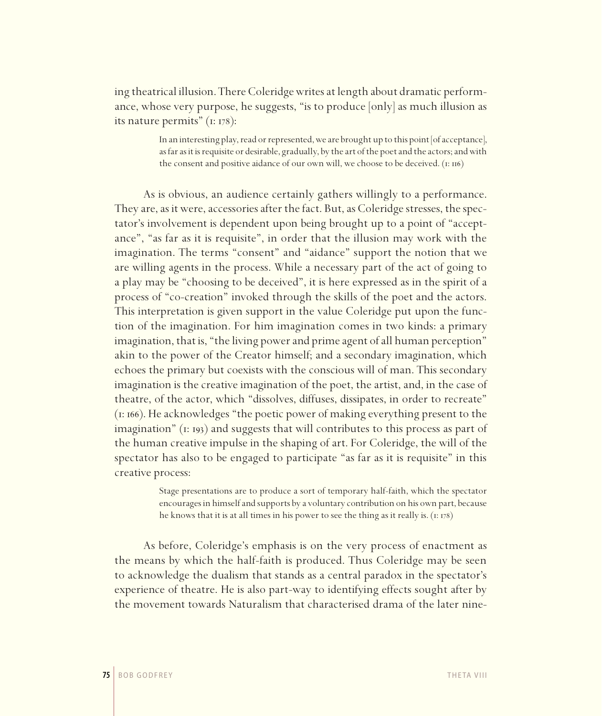ing theatrical illusion. There Coleridge writes at length about dramatic performance, whose very purpose, he suggests, "is to produce [only] as much illusion as its nature permits" (1: 178):

> In an interesting play, read or represented, we are brought up to this point [of acceptance], as far as it is requisite or desirable, gradually, by the art of the poet and the actors; and with the consent and positive aidance of our own will, we choose to be deceived. (1: 116)

As is obvious, an audience certainly gathers willingly to a performance. They are, as it were, accessories after the fact. But, as Coleridge stresses, the spectator's involvement is dependent upon being brought up to a point of "acceptance", "as far as it is requisite", in order that the illusion may work with the imagination. The terms "consent" and "aidance" support the notion that we are willing agents in the process. While a necessary part of the act of going to a play may be "choosing to be deceived", it is here expressed as in the spirit of a process of "co-creation" invoked through the skills of the poet and the actors. This interpretation is given support in the value Coleridge put upon the function of the imagination. For him imagination comes in two kinds: a primary imagination, that is, "the living power and prime agent of all human perception" akin to the power of the Creator himself; and a secondary imagination, which echoes the primary but coexists with the conscious will of man. This secondary imagination is the creative imagination of the poet, the artist, and, in the case of theatre, of the actor, which "dissolves, diffuses, dissipates, in order to recreate" (1: 166). He acknowledges "the poetic power of making everything present to the imagination" (1: 193) and suggests that will contributes to this process as part of the human creative impulse in the shaping of art. For Coleridge, the will of the spectator has also to be engaged to participate "as far as it is requisite" in this creative process:

> Stage presentations are to produce a sort of temporary half-faith, which the spectator encourages in himself and supports by a voluntary contribution on his own part, because he knows that it is at all times in his power to see the thing as it really is. (1: 178)

As before, Coleridge's emphasis is on the very process of enactment as the means by which the half-faith is produced. Thus Coleridge may be seen to acknowledge the dualism that stands as a central paradox in the spectator's experience of theatre. He is also part-way to identifying effects sought after by the movement towards Naturalism that characterised drama of the later nine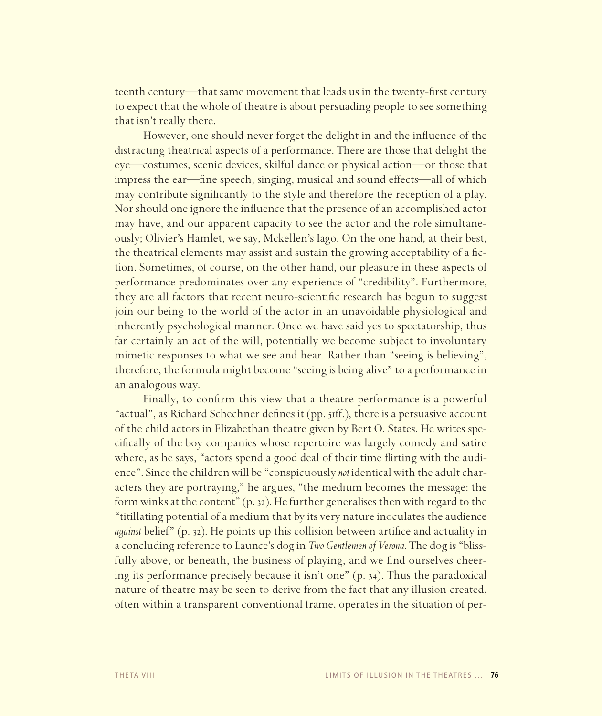teenth century—that same movement that leads us in the twenty-first century to expect that the whole of theatre is about persuading people to see something that isn't really there.

However, one should never forget the delight in and the influence of the distracting theatrical aspects of a performance. There are those that delight the eye—costumes, scenic devices, skilful dance or physical action—or those that impress the ear—fine speech, singing, musical and sound effects—all of which may contribute significantly to the style and therefore the reception of a play. Nor should one ignore the influence that the presence of an accomplished actor may have, and our apparent capacity to see the actor and the role simultaneously; Olivier's Hamlet, we say, Mckellen's Iago. On the one hand, at their best, the theatrical elements may assist and sustain the growing acceptability of a fiction. Sometimes, of course, on the other hand, our pleasure in these aspects of performance predominates over any experience of "credibility". Furthermore, they are all factors that recent neuro-scientific research has begun to suggest join our being to the world of the actor in an unavoidable physiological and inherently psychological manner. Once we have said yes to spectatorship, thus far certainly an act of the will, potentially we become subject to involuntary mimetic responses to what we see and hear. Rather than "seeing is believing", therefore, the formula might become "seeing is being alive" to a performance in an analogous way.

Finally, to confirm this view that a theatre performance is a powerful "actual", as Richard Schechner defines it (pp. 51ff.), there is a persuasive account of the child actors in Elizabethan theatre given by Bert O. States. He writes specifically of the boy companies whose repertoire was largely comedy and satire where, as he says, "actors spend a good deal of their time flirting with the audience". Since the children will be "conspicuously *not* identical with the adult characters they are portraying," he argues, "the medium becomes the message: the form winks at the content" (p. 32). He further generalises then with regard to the "titillating potential of a medium that by its very nature inoculates the audience *against* belief" (p. 32). He points up this collision between artifice and actuality in a concluding reference to Launce's dog in *Two Gentlemen of Verona*. The dog is "blissfully above, or beneath, the business of playing, and we find ourselves cheering its performance precisely because it isn't one" (p. 34). Thus the paradoxical nature of theatre may be seen to derive from the fact that any illusion created, often within a transparent conventional frame, operates in the situation of per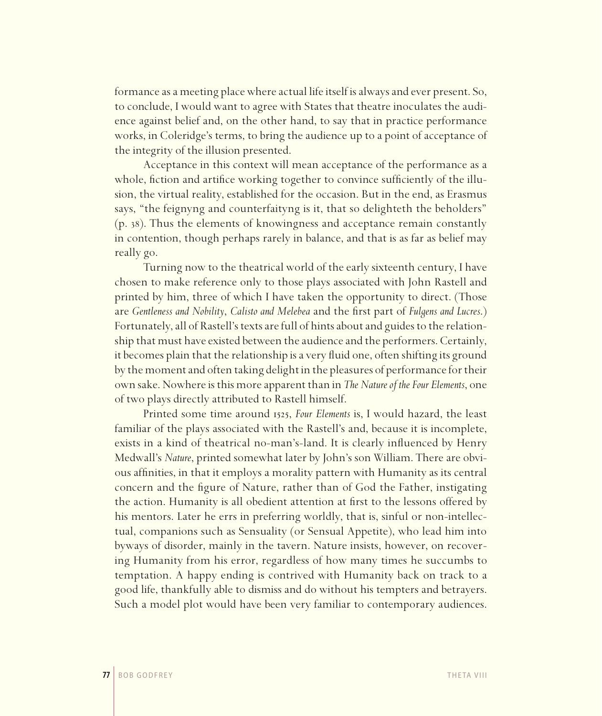formance as a meeting place where actual life itself is always and ever present. So, to conclude, I would want to agree with States that theatre inoculates the audience against belief and, on the other hand, to say that in practice performance works, in Coleridge's terms, to bring the audience up to a point of acceptance of the integrity of the illusion presented.

Acceptance in this context will mean acceptance of the performance as a whole, fiction and artifice working together to convince sufficiently of the illusion, the virtual reality, established for the occasion. But in the end, as Erasmus says, "the feignyng and counterfaityng is it, that so delighteth the beholders" (p. 38). Thus the elements of knowingness and acceptance remain constantly in contention, though perhaps rarely in balance, and that is as far as belief may really go.

Turning now to the theatrical world of the early sixteenth century, I have chosen to make reference only to those plays associated with John Rastell and printed by him, three of which I have taken the opportunity to direct. (Those are *Gentleness and Nobility*, *Calisto and Melebea* and the first part of *Fulgens and Lucres*.) Fortunately, all of Rastell's texts are full of hints about and guides to the relationship that must have existed between the audience and the performers. Certainly, it becomes plain that the relationship is a very fluid one, often shifting its ground by the moment and often taking delight in the pleasures of performance for their own sake. Nowhere is this more apparent than in *The Nature of the Four Elements*, one of two plays directly attributed to Rastell himself.

Printed some time around 1525, *Four Elements* is, I would hazard, the least familiar of the plays associated with the Rastell's and, because it is incomplete, exists in a kind of theatrical no-man's-land. It is clearly influenced by Henry Medwall's *Nature*, printed somewhat later by John's son William. There are obvious affinities, in that it employs a morality pattern with Humanity as its central concern and the figure of Nature, rather than of God the Father, instigating the action. Humanity is all obedient attention at first to the lessons offered by his mentors. Later he errs in preferring worldly, that is, sinful or non-intellectual, companions such as Sensuality (or Sensual Appetite), who lead him into byways of disorder, mainly in the tavern. Nature insists, however, on recovering Humanity from his error, regardless of how many times he succumbs to temptation. A happy ending is contrived with Humanity back on track to a good life, thankfully able to dismiss and do without his tempters and betrayers. Such a model plot would have been very familiar to contemporary audiences.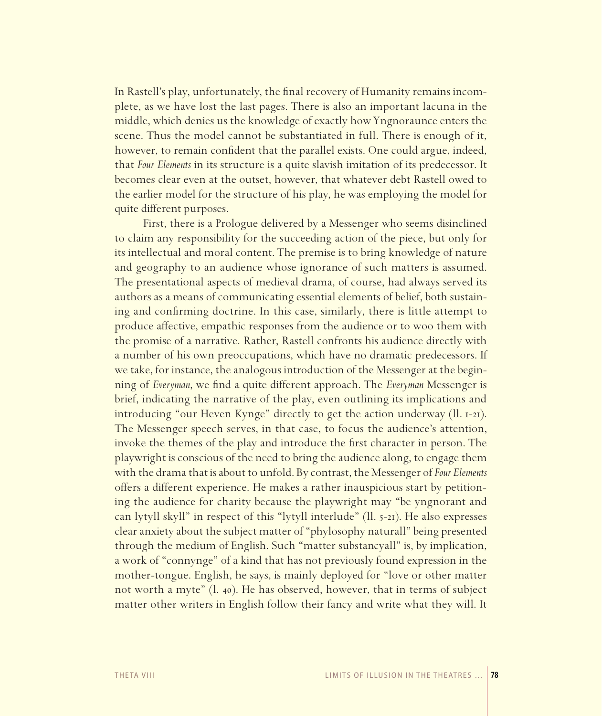In Rastell's play, unfortunately, the final recovery of Humanity remains incomplete, as we have lost the last pages. There is also an important lacuna in the middle, which denies us the knowledge of exactly how Yngnoraunce enters the scene. Thus the model cannot be substantiated in full. There is enough of it, however, to remain confident that the parallel exists. One could argue, indeed, that *Four Elements* in its structure is a quite slavish imitation of its predecessor. It becomes clear even at the outset, however, that whatever debt Rastell owed to the earlier model for the structure of his play, he was employing the model for quite different purposes.

First, there is a Prologue delivered by a Messenger who seems disinclined to claim any responsibility for the succeeding action of the piece, but only for its intellectual and moral content. The premise is to bring knowledge of nature and geography to an audience whose ignorance of such matters is assumed. The presentational aspects of medieval drama, of course, had always served its authors as a means of communicating essential elements of belief, both sustaining and confirming doctrine. In this case, similarly, there is little attempt to produce affective, empathic responses from the audience or to woo them with the promise of a narrative. Rather, Rastell confronts his audience directly with a number of his own preoccupations, which have no dramatic predecessors. If we take, for instance, the analogous introduction of the Messenger at the beginning of *Everyman*, we find a quite different approach. The *Everyman* Messenger is brief, indicating the narrative of the play, even outlining its implications and introducing "our Heven Kynge" directly to get the action underway (ll. 1-21). The Messenger speech serves, in that case, to focus the audience's attention, invoke the themes of the play and introduce the first character in person. The playwright is conscious of the need to bring the audience along, to engage them with the drama that is about to unfold. By contrast, the Messenger of *Four Elements* offers a different experience. He makes a rather inauspicious start by petitioning the audience for charity because the playwright may "be yngnorant and can lytyll skyll" in respect of this "lytyll interlude" (ll. 5-21). He also expresses clear anxiety about the subject matter of "phylosophy naturall" being presented through the medium of English. Such "matter substancyall" is, by implication, a work of "connynge" of a kind that has not previously found expression in the mother-tongue. English, he says, is mainly deployed for "love or other matter not worth a myte" (l. 40). He has observed, however, that in terms of subject matter other writers in English follow their fancy and write what they will. It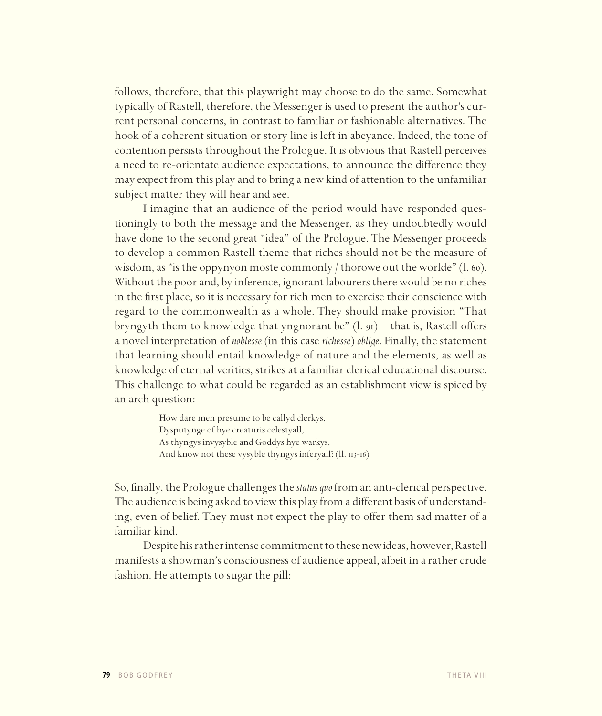follows, therefore, that this playwright may choose to do the same. Somewhat typically of Rastell, therefore, the Messenger is used to present the author's current personal concerns, in contrast to familiar or fashionable alternatives. The hook of a coherent situation or story line is left in abeyance. Indeed, the tone of contention persists throughout the Prologue. It is obvious that Rastell perceives a need to re-orientate audience expectations, to announce the difference they may expect from this play and to bring a new kind of attention to the unfamiliar subject matter they will hear and see.

I imagine that an audience of the period would have responded questioningly to both the message and the Messenger, as they undoubtedly would have done to the second great "idea" of the Prologue. The Messenger proceeds to develop a common Rastell theme that riches should not be the measure of wisdom, as "is the oppynyon moste commonly thorowe out the worlde"  $(1.60)$ . Without the poor and, by inference, ignorant labourers there would be no riches in the first place, so it is necessary for rich men to exercise their conscience with regard to the commonwealth as a whole. They should make provision "That bryngyth them to knowledge that yngnorant be" (l. 91)—that is, Rastell offers a novel interpretation of *noblesse* (in this case *richesse*) *oblige*. Finally, the statement that learning should entail knowledge of nature and the elements, as well as knowledge of eternal verities, strikes at a familiar clerical educational discourse. This challenge to what could be regarded as an establishment view is spiced by an arch question:

> How dare men presume to be callyd clerkys, Dysputynge of hye creaturis celestyall, As thyngys invysyble and Goddys hye warkys, And know not these vysyble thyngys inferyall? (ll. 113-16)

So, finally, the Prologue challenges the *status quo* from an anti-clerical perspective. The audience is being asked to view this play from a different basis of understanding, even of belief. They must not expect the play to offer them sad matter of a familiar kind.

Despite his rather intense commitment to these new ideas, however, Rastell manifests a showman's consciousness of audience appeal, albeit in a rather crude fashion. He attempts to sugar the pill: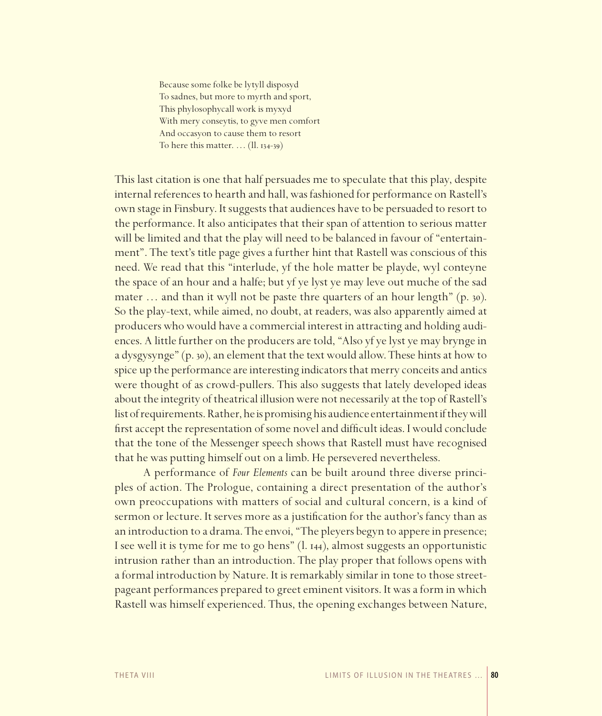Because some folke be lytyll disposyd To sadnes, but more to myrth and sport, This phylosophycall work is myxyd With mery conseytis, to gyve men comfort And occasyon to cause them to resort To here this matter. … (ll. 134-39)

This last citation is one that half persuades me to speculate that this play, despite internal references to hearth and hall, was fashioned for performance on Rastell's own stage in Finsbury. It suggests that audiences have to be persuaded to resort to the performance. It also anticipates that their span of attention to serious matter will be limited and that the play will need to be balanced in favour of "entertainment". The text's title page gives a further hint that Rastell was conscious of this need. We read that this "interlude, yf the hole matter be playde, wyl conteyne the space of an hour and a halfe; but yf ye lyst ye may leve out muche of the sad mater … and than it wyll not be paste thre quarters of an hour length" (p. 30). So the play-text, while aimed, no doubt, at readers, was also apparently aimed at producers who would have a commercial interest in attracting and holding audiences. A little further on the producers are told, "Also yf ye lyst ye may brynge in a dysgysynge" (p. 30), an element that the text would allow. These hints at how to spice up the performance are interesting indicators that merry conceits and antics were thought of as crowd-pullers. This also suggests that lately developed ideas about the integrity of theatrical illusion were not necessarily at the top of Rastell's list of requirements. Rather, he is promising his audience entertainment if they will first accept the representation of some novel and difficult ideas. I would conclude that the tone of the Messenger speech shows that Rastell must have recognised that he was putting himself out on a limb. He persevered nevertheless.

A performance of *Four Elements* can be built around three diverse principles of action. The Prologue, containing a direct presentation of the author's own preoccupations with matters of social and cultural concern, is a kind of sermon or lecture. It serves more as a justification for the author's fancy than as an introduction to a drama. The envoi, "The pleyers begyn to appere in presence; I see well it is tyme for me to go hens" (l. 144), almost suggests an opportunistic intrusion rather than an introduction. The play proper that follows opens with a formal introduction by Nature. It is remarkably similar in tone to those streetpageant performances prepared to greet eminent visitors. It was a form in which Rastell was himself experienced. Thus, the opening exchanges between Nature,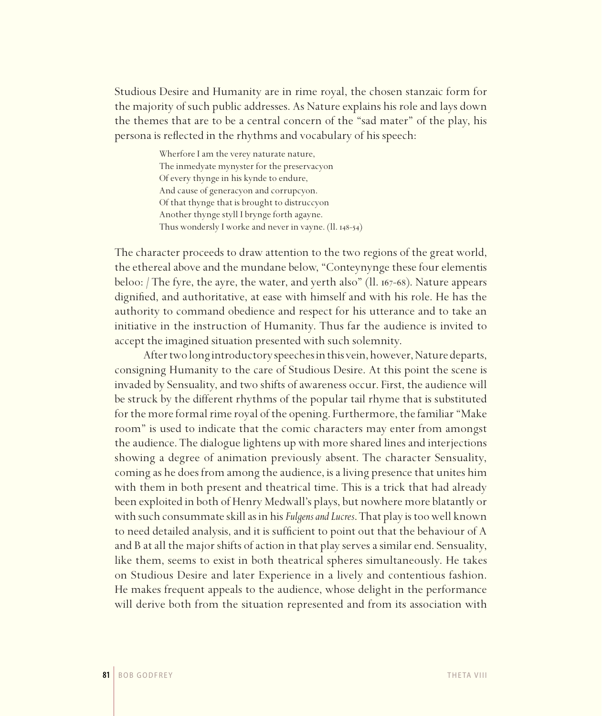Studious Desire and Humanity are in rime royal, the chosen stanzaic form for the majority of such public addresses. As Nature explains his role and lays down the themes that are to be a central concern of the "sad mater" of the play, his persona is reflected in the rhythms and vocabulary of his speech:

> Wherfore Iam the verey naturate nature, The inmedyate mynyster for the preservacyon Of every thynge in his kynde to endure, And cause of generacyon and corrupcyon. Of that thynge that is brought to distruccyon Another thynge styll I brynge forth agayne. Thus wondersly I worke and never in vayne. (ll. 148-54)

The character proceeds to draw attention to the two regions of the great world, the ethereal above and the mundane below, "Conteynynge these four elementis beloo: / The fyre, the ayre, the water, and yerth also" (ll. 167-68). Nature appears dignified, and authoritative, at ease with himself and with his role. He has the authority to command obedience and respect for his utterance and to take an initiative in the instruction of Humanity. Thus far the audience is invited to accept the imagined situation presented with such solemnity.

After two long introductory speeches in this vein, however, Nature departs, consigning Humanity to the care of Studious Desire. At this point the scene is invaded by Sensuality, and two shifts of awareness occur. First, the audience will be struck by the different rhythms of the popular tail rhyme that is substituted for the more formal rime royal of the opening. Furthermore, the familiar "Make room" is used to indicate that the comic characters may enter from amongst the audience. The dialogue lightens up with more shared lines and interjections showing a degree of animation previously absent. The character Sensuality, coming as he does from among the audience, is a living presence that unites him with them in both present and theatrical time. This is a trick that had already been exploited in both of Henry Medwall's plays, but nowhere more blatantly or with such consummate skill as in his *Fulgens and Lucres*. That play is too well known to need detailed analysis, and it is sufficient to point out that the behaviour of A and B at all the major shifts of action in that play serves a similar end. Sensuality, like them, seems to exist in both theatrical spheres simultaneously. He takes on Studious Desire and later Experience in a lively and contentious fashion. He makes frequent appeals to the audience, whose delight in the performance will derive both from the situation represented and from its association with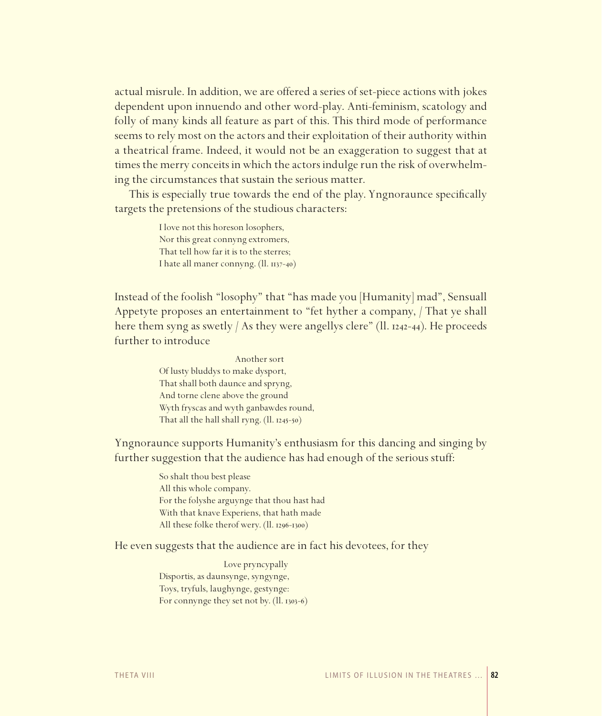actual misrule. In addition, we are offered a series of set-piece actions with jokes dependent upon innuendo and other word-play. Anti-feminism, scatology and folly of many kinds all feature as part of this. This third mode of performance seems to rely most on the actors and their exploitation of their authority within a theatrical frame. Indeed, it would not be an exaggeration to suggest that at times the merry conceits in which the actors indulge run the risk of overwhelming the circumstances that sustain the serious matter.

This is especially true towards the end of the play. Yngnoraunce specifically targets the pretensions of the studious characters:

> I love not this horeson losophers, Nor this great connyng extromers, That tell how far it is to the sterres; I hate all maner connyng. (ll. 1137-40)

Instead of the foolish "losophy" that "has made you [Humanity] mad", Sensuall Appetyte proposes an entertainment to "fet hyther a company, / That ye shall here them syng as swetly / As they were angellys clere" (ll. 1242-44). He proceeds further to introduce

> Another sort Of lusty bluddys to make dysport, That shall both daunce and spryng, And torne clene above the ground Wyth fryscas and wyth ganbawdes round, That all the hall shall ryng. (ll. 1245-50)

Yngnoraunce supports Humanity's enthusiasm for this dancing and singing by further suggestion that the audience has had enough of the serious stuff:

> So shalt thou best please All this whole company. For the folyshe arguynge that thou hast had With that knave Experiens, that hath made All these folke therof wery. (ll. 1296-1300)

He even suggests that the audience are in fact his devotees, for they

 Love pryncypally Disportis, as daunsynge, syngynge, Toys, tryfuls, laughynge, gestynge: For connynge they set not by. (ll. 1303-6)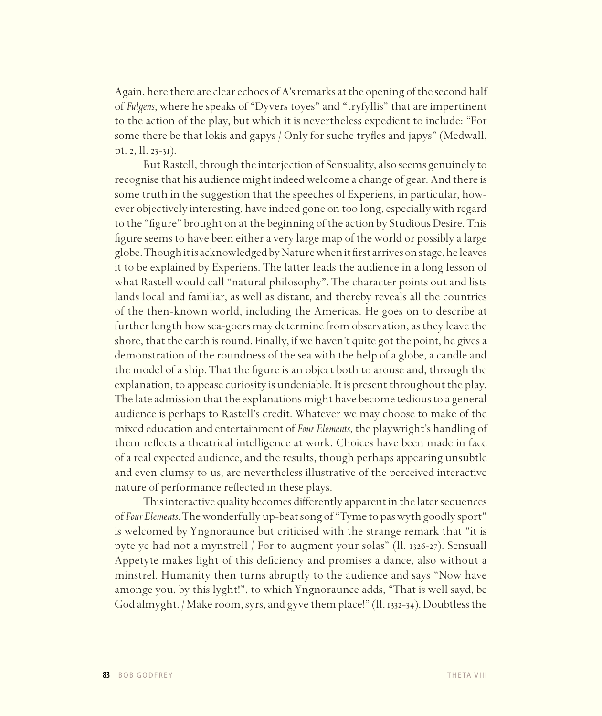Again, here there are clear echoes of A's remarks at the opening of the second half of *Fulgens*, where he speaks of "Dyvers toyes" and "tryfyllis" that are impertinent to the action of the play, but which it is nevertheless expedient to include: "For some there be that lokis and gapys / Only for suche tryfles and japys" (Medwall, pt. 2, ll. 23-31).

But Rastell, through the interjection of Sensuality, also seems genuinely to recognise that his audience might indeed welcome a change of gear. And there is some truth in the suggestion that the speeches of Experiens, in particular, however objectively interesting, have indeed gone on too long, especially with regard to the "figure" brought on at the beginning of the action by Studious Desire. This figure seems to have been either a very large map of the world or possibly a large globe. Though it is acknowledged by Nature when it first arrives on stage, he leaves it to be explained by Experiens. The latter leads the audience in a long lesson of what Rastell would call "natural philosophy". The character points out and lists lands local and familiar, as well as distant, and thereby reveals all the countries of the then-known world, including the Americas. He goes on to describe at further length how sea-goers may determine from observation, as they leave the shore, that the earth is round. Finally, if we haven't quite got the point, he gives a demonstration of the roundness of the sea with the help of a globe, a candle and the model of a ship. That the figure is an object both to arouse and, through the explanation, to appease curiosity is undeniable. It is present throughout the play. The late admission that the explanations might have become tedious to a general audience is perhaps to Rastell's credit. Whatever we may choose to make of the mixed education and entertainment of *Four Elements*, the playwright's handling of them reflects a theatrical intelligence at work. Choices have been made in face of a real expected audience, and the results, though perhaps appearing unsubtle and even clumsy to us, are nevertheless illustrative of the perceived interactive nature of performance reflected in these plays.

This interactive quality becomes differently apparent in the later sequences of *Four Elements*. The wonderfully up-beat song of "Tyme to pas wyth goodly sport" is welcomed by Yngnoraunce but criticised with the strange remark that "it is pyte ye had not a mynstrell / For to augment your solas" (ll. 1326-27). Sensuall Appetyte makes light of this deficiency and promises a dance, also without a minstrel. Humanity then turns abruptly to the audience and says "Now have amonge you, by this lyght!", to which Yngnoraunce adds, "That is well sayd, be God almyght. / Make room, syrs, and gyve them place!" (ll. 1332-34). Doubtless the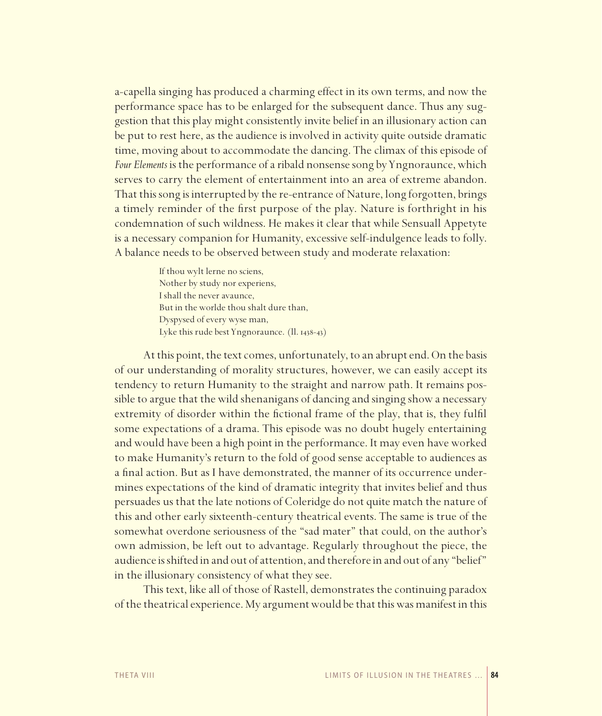a-capella singing has produced a charming effect in its own terms, and now the performance space has to be enlarged for the subsequent dance. Thus any suggestion that this play might consistently invite belief in an illusionary action can be put to rest here, as the audience is involved in activity quite outside dramatic time, moving about to accommodate the dancing. The climax of this episode of *Four Elements* is the performance of a ribald nonsense song by Yngnoraunce, which serves to carry the element of entertainment into an area of extreme abandon. That this song is interrupted by the re-entrance of Nature, long forgotten, brings a timely reminder of the first purpose of the play. Nature is forthright in his condemnation of such wildness. He makes it clear that while Sensuall Appetyte is a necessary companion for Humanity, excessive self-indulgence leads to folly. A balance needs to be observed between study and moderate relaxation:

> If thou wylt lerne no sciens, Nother by study nor experiens, I shall the never avaunce, But in the worlde thou shalt dure than, Dyspysed of every wyse man, Lyke this rude best Yngnoraunce. (ll. 1438-43)

At this point, the text comes, unfortunately, to an abrupt end. On the basis of our understanding of morality structures, however, we can easily accept its tendency to return Humanity to the straight and narrow path. It remains possible to argue that the wild shenanigans of dancing and singing show a necessary extremity of disorder within the fictional frame of the play, that is, they fulfil some expectations of a drama. This episode was no doubt hugely entertaining and would have been a high point in the performance. It may even have worked to make Humanity's return to the fold of good sense acceptable to audiences as a final action. But as I have demonstrated, the manner of its occurrence undermines expectations of the kind of dramatic integrity that invites belief and thus persuades us that the late notions of Coleridge do not quite match the nature of this and other early sixteenth-century theatrical events. The same is true of the somewhat overdone seriousness of the "sad mater" that could, on the author's own admission, be left out to advantage. Regularly throughout the piece, the audience is shifted in and out of attention, and therefore in and out of any "belief" in the illusionary consistency of what they see.

This text, like all of those of Rastell, demonstrates the continuing paradox of the theatrical experience. My argument would be that this was manifest in this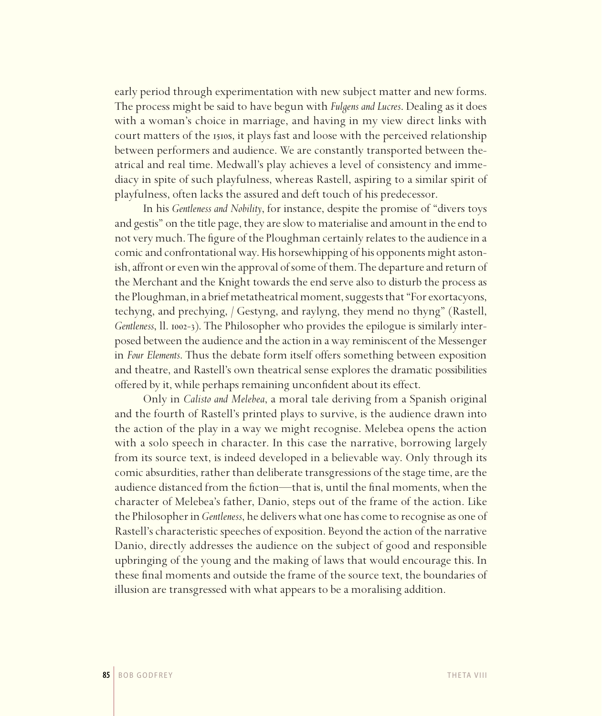early period through experimentation with new subject matter and new forms. The process might be said to have begun with *Fulgens and Lucres*. Dealing as it does with a woman's choice in marriage, and having in my view direct links with court matters of the 1510s, it plays fast and loose with the perceived relationship between performers and audience. We are constantly transported between theatrical and real time. Medwall's play achieves a level of consistency and immediacy in spite of such playfulness, whereas Rastell, aspiring to a similar spirit of playfulness, often lacks the assured and deft touch of his predecessor.

In his *Gentleness and Nobility*, for instance, despite the promise of "divers toys and gestis" on the title page, they are slow to materialise and amount in the end to not very much. The figure of the Ploughman certainly relates to the audience in a comic and confrontational way. His horsewhipping of his opponents might astonish, affront or even win the approval of some of them. The departure and return of the Merchant and the Knight towards the end serve also to disturb the process as the Ploughman, in a brief metatheatrical moment, suggests that "For exortacyons, techyng, and prechying, / Gestyng, and raylyng, they mend no thyng" (Rastell, *Gentleness*, ll. 1002-3). The Philosopher who provides the epilogue is similarly interposed between the audience and the action in a way reminiscent of the Messenger in *Four Elements*. Thus the debate form itself offers something between exposition and theatre, and Rastell's own theatrical sense explores the dramatic possibilities offered by it, while perhaps remaining unconfident about its effect.

Only in *Calisto and Melebea*, a moral tale deriving from a Spanish original and the fourth of Rastell's printed plays to survive, is the audience drawn into the action of the play in a way we might recognise. Melebea opens the action with a solo speech in character. In this case the narrative, borrowing largely from its source text, is indeed developed in a believable way. Only through its comic absurdities, rather than deliberate transgressions of the stage time, are the audience distanced from the fiction—that is, until the final moments, when the character of Melebea's father, Danio, steps out of the frame of the action. Like the Philosopher in *Gentleness*, he delivers what one has come to recognise as one of Rastell's characteristic speeches of exposition. Beyond the action of the narrative Danio, directly addresses the audience on the subject of good and responsible upbringing of the young and the making of laws that would encourage this. In these final moments and outside the frame of the source text, the boundaries of illusion are transgressed with what appears to be a moralising addition.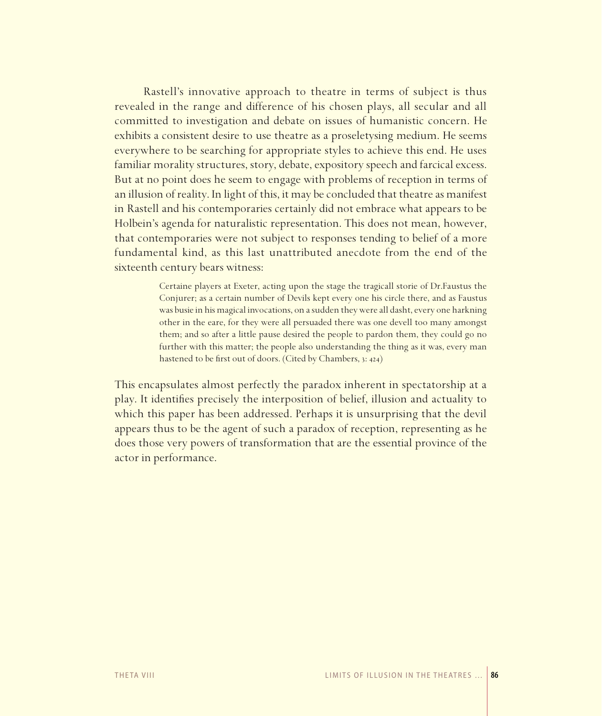Rastell's innovative approach to theatre in terms of subject is thus revealed in the range and difference of his chosen plays, all secular and all committed to investigation and debate on issues of humanistic concern. He exhibits a consistent desire to use theatre as a proseletysing medium. He seems everywhere to be searching for appropriate styles to achieve this end. He uses familiar morality structures, story, debate, expository speech and farcical excess. But at no point does he seem to engage with problems of reception in terms of an illusion of reality. In light of this, it may be concluded that theatre as manifest in Rastell and his contemporaries certainly did not embrace what appears to be Holbein's agenda for naturalistic representation. This does not mean, however, that contemporaries were not subject to responses tending to belief of a more fundamental kind, as this last unattributed anecdote from the end of the sixteenth century bears witness:

> Certaine players at Exeter, acting upon the stage the tragicall storie of Dr.Faustus the Conjurer; as a certain number of Devils kept every one his circle there, and as Faustus was busie in his magical invocations, on a sudden they were all dasht, every one harkning other in the eare, for they were all persuaded there was one devell too many amongst them; and so after a little pause desired the people to pardon them, they could go no further with this matter; the people also understanding the thing as it was, every man hastened to be first out of doors. (Cited by Chambers, 3: 424)

This encapsulates almost perfectly the paradox inherent in spectatorship at a play. It identifies precisely the interposition of belief, illusion and actuality to which this paper has been addressed. Perhaps it is unsurprising that the devil appears thus to be the agent of such a paradox of reception, representing as he does those very powers of transformation that are the essential province of the actor in performance.